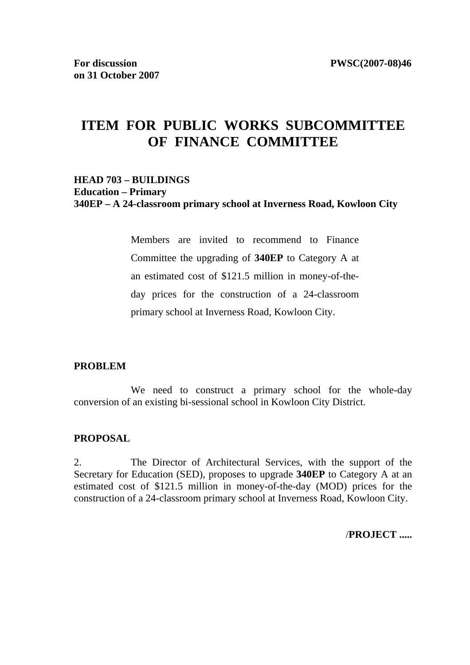# **ITEM FOR PUBLIC WORKS SUBCOMMITTEE OF FINANCE COMMITTEE**

#### **HEAD 703 – BUILDINGS Education – Primary 340EP – A 24-classroom primary school at Inverness Road, Kowloon City**

Members are invited to recommend to Finance Committee the upgrading of **340EP** to Category A at an estimated cost of \$121.5 million in money-of-theday prices for the construction of a 24-classroom primary school at Inverness Road, Kowloon City.

#### **PROBLEM**

We need to construct a primary school for the whole-day conversion of an existing bi-sessional school in Kowloon City District.

#### **PROPOSAL**

2. The Director of Architectural Services, with the support of the Secretary for Education (SED), proposes to upgrade **340EP** to Category A at an estimated cost of \$121.5 million in money-of-the-day (MOD) prices for the construction of a 24-classroom primary school at Inverness Road, Kowloon City.

/**PROJECT .....**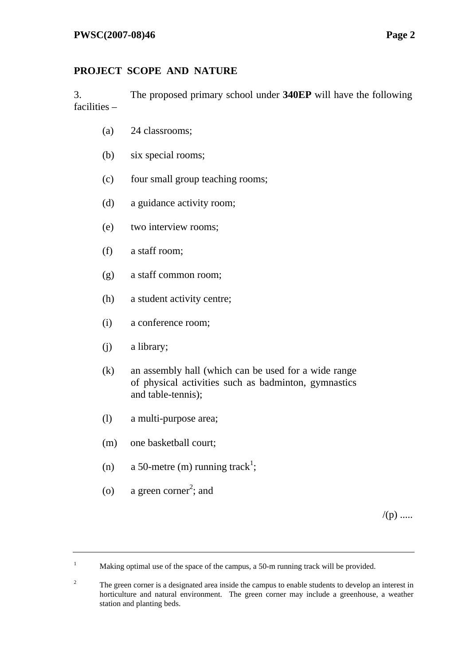# **PROJECT SCOPE AND NATURE**

3. The proposed primary school under **340EP** will have the following facilities –

- (a) 24 classrooms;
- (b) six special rooms;
- (c) four small group teaching rooms;
- (d) a guidance activity room;
- (e) two interview rooms;
- (f) a staff room;
- (g) a staff common room;
- (h) a student activity centre;
- (i) a conference room;
- (j) a library;
- (k) an assembly hall (which can be used for a wide range of physical activities such as badminton, gymnastics and table-tennis);
- (l) a multi-purpose area;
- (m) one basketball court;
- (n) a 50-metre (m) running track<sup>1</sup>;
- (o) a green corner<sup>2</sup>; and

 $/(p)$  .....

<sup>1</sup> Making optimal use of the space of the campus, a 50-m running track will be provided.

<sup>2</sup> The green corner is a designated area inside the campus to enable students to develop an interest in horticulture and natural environment. The green corner may include a greenhouse, a weather station and planting beds.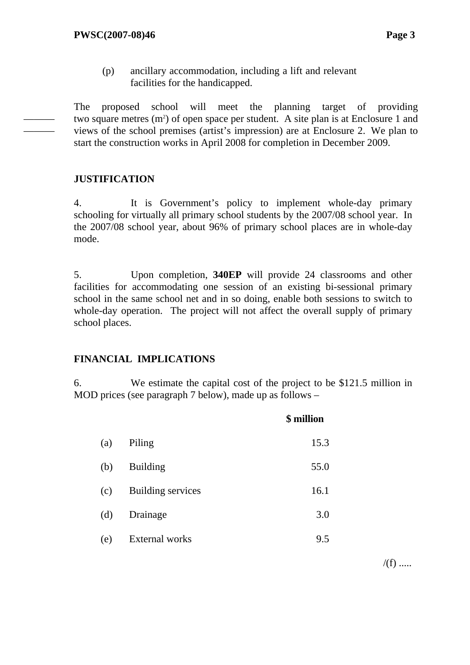(p) ancillary accommodation, including a lift and relevant facilities for the handicapped.

The proposed school will meet the planning target of providing two square metres  $(m<sup>2</sup>)$  of open space per student. A site plan is at Enclosure 1 and views of the school premises (artist's impression) are at Enclosure 2. We plan to start the construction works in April 2008 for completion in December 2009.

# **JUSTIFICATION**

——— ———

> 4. It is Government's policy to implement whole-day primary schooling for virtually all primary school students by the 2007/08 school year. In the 2007/08 school year, about 96% of primary school places are in whole-day mode.

> 5. Upon completion, **340EP** will provide 24 classrooms and other facilities for accommodating one session of an existing bi-sessional primary school in the same school net and in so doing, enable both sessions to switch to whole-day operation. The project will not affect the overall supply of primary school places.

# **FINANCIAL IMPLICATIONS**

6. We estimate the capital cost of the project to be \$121.5 million in MOD prices (see paragraph 7 below), made up as follows –

|     |                          | \$ million |
|-----|--------------------------|------------|
| (a) | Piling                   | 15.3       |
| (b) | <b>Building</b>          | 55.0       |
| (c) | <b>Building services</b> | 16.1       |
| (d) | Drainage                 | 3.0        |
| (e) | External works           | 9.5        |

 $/(f)$  .....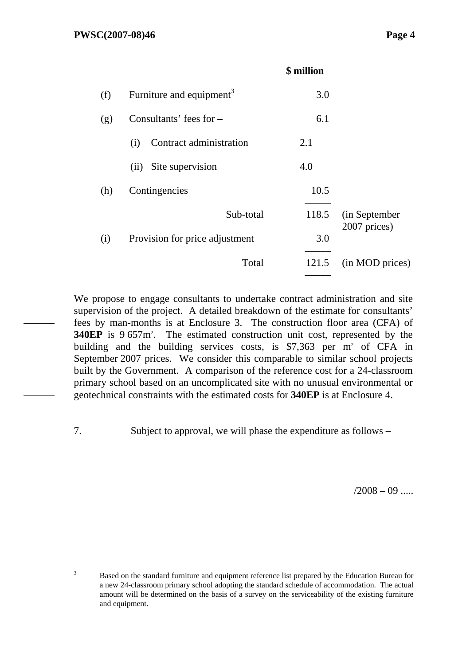|     |                                      | \$ million |                               |
|-----|--------------------------------------|------------|-------------------------------|
| (f) | Furniture and equipment <sup>3</sup> | 3.0        |                               |
| (g) | Consultants' fees for $-$            | 6.1        |                               |
|     | Contract administration<br>(i)       | 2.1        |                               |
|     | Site supervision<br>(ii)             | 4.0        |                               |
| (h) | Contingencies                        | 10.5       |                               |
|     | Sub-total                            | 118.5      | (in September<br>2007 prices) |
| (i) | Provision for price adjustment       | 3.0        |                               |
|     | Total                                | 121.5      | (in MOD prices)               |

We propose to engage consultants to undertake contract administration and site supervision of the project. A detailed breakdown of the estimate for consultants' fees by man-months is at Enclosure 3. The construction floor area (CFA) of **340EP** is 9.657m<sup>2</sup>. The estimated construction unit cost, represented by the building and the building services costs, is  $$7,363$  per m<sup>2</sup> of CFA in September 2007 prices. We consider this comparable to similar school projects built by the Government. A comparison of the reference cost for a 24-classroom primary school based on an uncomplicated site with no unusual environmental or geotechnical constraints with the estimated costs for **340EP** is at Enclosure 4.

———

———

7. Subject to approval, we will phase the expenditure as follows –

 $/2008 - 09$  .....

3 Based on the standard furniture and equipment reference list prepared by the Education Bureau for a new 24-classroom primary school adopting the standard schedule of accommodation. The actual amount will be determined on the basis of a survey on the serviceability of the existing furniture and equipment.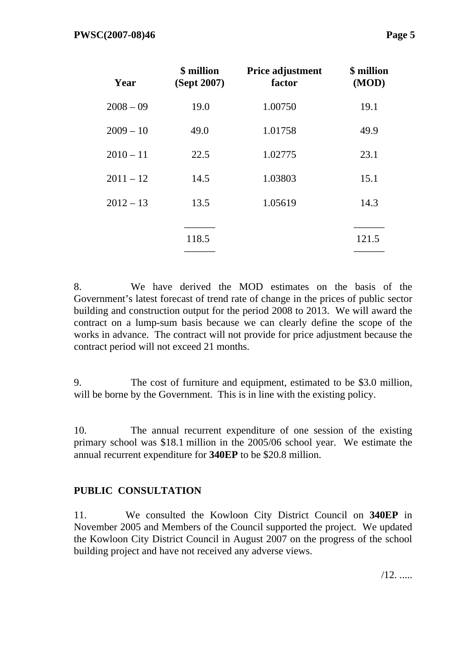| Year        | \$ million<br>(Sept 2007) | Price adjustment<br>factor | \$ million<br>(MOD) |
|-------------|---------------------------|----------------------------|---------------------|
| $2008 - 09$ | 19.0                      | 1.00750                    | 19.1                |
| $2009 - 10$ | 49.0                      | 1.01758                    | 49.9                |
| $2010 - 11$ | 22.5                      | 1.02775                    | 23.1                |
| $2011 - 12$ | 14.5                      | 1.03803                    | 15.1                |
| $2012 - 13$ | 13.5                      | 1.05619                    | 14.3                |
|             | 118.5                     |                            | 121.5               |

8. We have derived the MOD estimates on the basis of the Government's latest forecast of trend rate of change in the prices of public sector building and construction output for the period 2008 to 2013. We will award the contract on a lump-sum basis because we can clearly define the scope of the works in advance. The contract will not provide for price adjustment because the contract period will not exceed 21 months.

9. The cost of furniture and equipment, estimated to be \$3.0 million, will be borne by the Government. This is in line with the existing policy.

10. The annual recurrent expenditure of one session of the existing primary school was \$18.1 million in the 2005/06 school year. We estimate the annual recurrent expenditure for **340EP** to be \$20.8 million.

# **PUBLIC CONSULTATION**

11. We consulted the Kowloon City District Council on **340EP** in November 2005 and Members of the Council supported the project. We updated the Kowloon City District Council in August 2007 on the progress of the school building project and have not received any adverse views.

 $/12.$  .....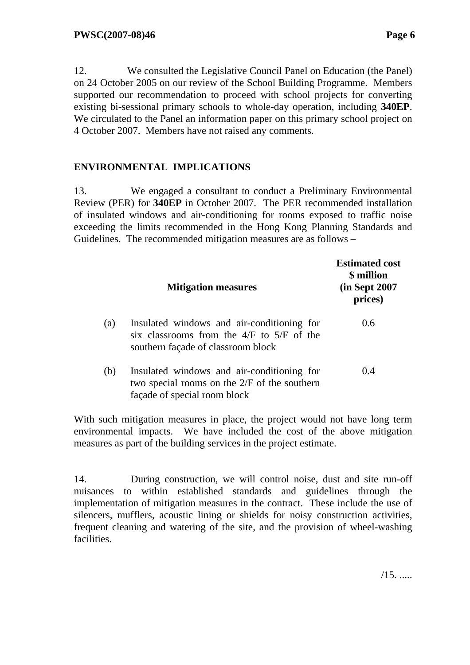12. We consulted the Legislative Council Panel on Education (the Panel) on 24 October 2005 on our review of the School Building Programme. Members supported our recommendation to proceed with school projects for converting existing bi-sessional primary schools to whole-day operation, including **340EP**. We circulated to the Panel an information paper on this primary school project on 4 October 2007. Members have not raised any comments.

# **ENVIRONMENTAL IMPLICATIONS**

13. We engaged a consultant to conduct a Preliminary Environmental Review (PER) for **340EP** in October 2007. The PER recommended installation of insulated windows and air-conditioning for rooms exposed to traffic noise exceeding the limits recommended in the Hong Kong Planning Standards and Guidelines. The recommended mitigation measures are as follows –

|     | <b>Mitigation measures</b>                                                                                                        | <b>Estimated cost</b><br>\$ million<br>(in Sept 2007)<br>prices) |
|-----|-----------------------------------------------------------------------------------------------------------------------------------|------------------------------------------------------------------|
| (a) | Insulated windows and air-conditioning for<br>six classrooms from the $4/F$ to $5/F$ of the<br>southern façade of classroom block | 0.6                                                              |
| (b) | Insulated windows and air-conditioning for<br>two special rooms on the $2/F$ of the southern<br>façade of special room block      | 0.4                                                              |

With such mitigation measures in place, the project would not have long term environmental impacts. We have included the cost of the above mitigation measures as part of the building services in the project estimate.

14. During construction, we will control noise, dust and site run-off nuisances to within established standards and guidelines through the implementation of mitigation measures in the contract. These include the use of silencers, mufflers, acoustic lining or shields for noisy construction activities, frequent cleaning and watering of the site, and the provision of wheel-washing facilities.

 $/15. \dots$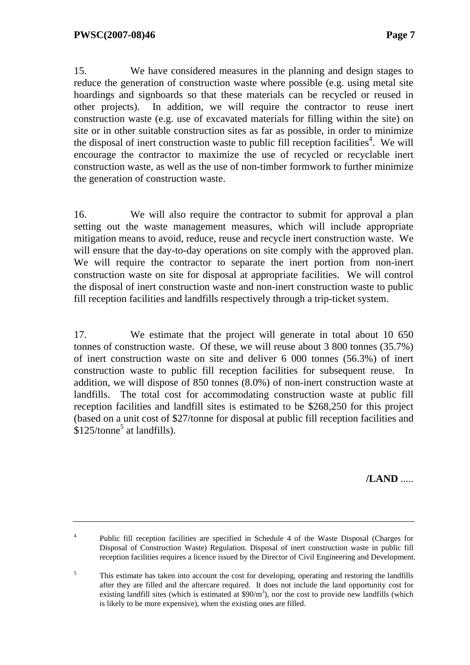15. We have considered measures in the planning and design stages to reduce the generation of construction waste where possible (e.g. using metal site hoardings and signboards so that these materials can be recycled or reused in other projects). In addition, we will require the contractor to reuse inert construction waste (e.g. use of excavated materials for filling within the site) on site or in other suitable construction sites as far as possible, in order to minimize the disposal of inert construction waste to public fill reception facilities<sup>4</sup>. We will encourage the contractor to maximize the use of recycled or recyclable inert construction waste, as well as the use of non-timber formwork to further minimize the generation of construction waste.

16. We will also require the contractor to submit for approval a plan setting out the waste management measures, which will include appropriate mitigation means to avoid, reduce, reuse and recycle inert construction waste. We will ensure that the day-to-day operations on site comply with the approved plan. We will require the contractor to separate the inert portion from non-inert construction waste on site for disposal at appropriate facilities. We will control the disposal of inert construction waste and non-inert construction waste to public fill reception facilities and landfills respectively through a trip-ticket system.

17. We estimate that the project will generate in total about 10 650 tonnes of construction waste. Of these, we will reuse about 3 800 tonnes (35.7%) of inert construction waste on site and deliver 6 000 tonnes (56.3%) of inert construction waste to public fill reception facilities for subsequent reuse. In addition, we will dispose of 850 tonnes (8.0%) of non-inert construction waste at landfills. The total cost for accommodating construction waste at public fill reception facilities and landfill sites is estimated to be \$268,250 for this project (based on a unit cost of \$27/tonne for disposal at public fill reception facilities and  $$125/tonne<sup>5</sup>$  at landfills).

**/LAND** .....

<sup>&</sup>lt;sup>4</sup> Public fill reception facilities are specified in Schedule 4 of the Waste Disposal (Charges for Disposal of Construction Waste) Regulation. Disposal of inert construction waste in public fill reception facilities requires a licence issued by the Director of Civil Engineering and Development.

<sup>5</sup> This estimate has taken into account the cost for developing, operating and restoring the landfills after they are filled and the aftercare required. It does not include the land opportunity cost for existing landfill sites (which is estimated at  $$90/m<sup>3</sup>$ ), nor the cost to provide new landfills (which is likely to be more expensive), when the existing ones are filled.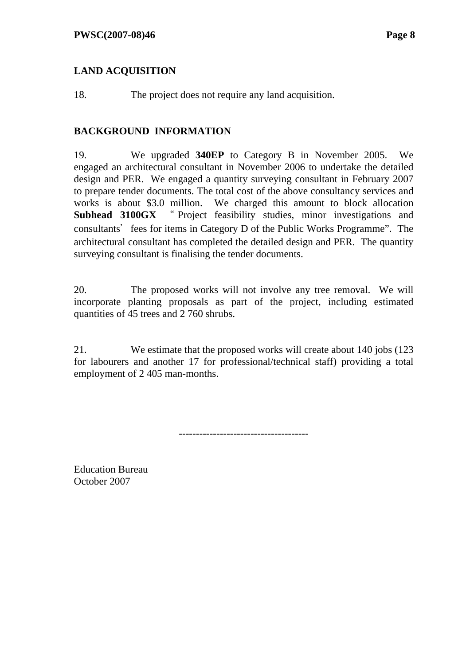# **LAND ACQUISITION**

18. The project does not require any land acquisition.

### **BACKGROUND INFORMATION**

19. We upgraded **340EP** to Category B in November 2005. We engaged an architectural consultant in November 2006 to undertake the detailed design and PER. We engaged a quantity surveying consultant in February 2007 to prepare tender documents. The total cost of the above consultancy services and works is about \$3.0 million. We charged this amount to block allocation **Subhead 3100GX** " Project feasibility studies, minor investigations and consultants' fees for items in Category D of the Public Works Programme". The architectural consultant has completed the detailed design and PER. The quantity surveying consultant is finalising the tender documents.

20. The proposed works will not involve any tree removal. We will incorporate planting proposals as part of the project, including estimated quantities of 45 trees and 2 760 shrubs.

21. We estimate that the proposed works will create about 140 jobs (123 for labourers and another 17 for professional/technical staff) providing a total employment of 2 405 man-months.

--------------------------------------

Education Bureau October 2007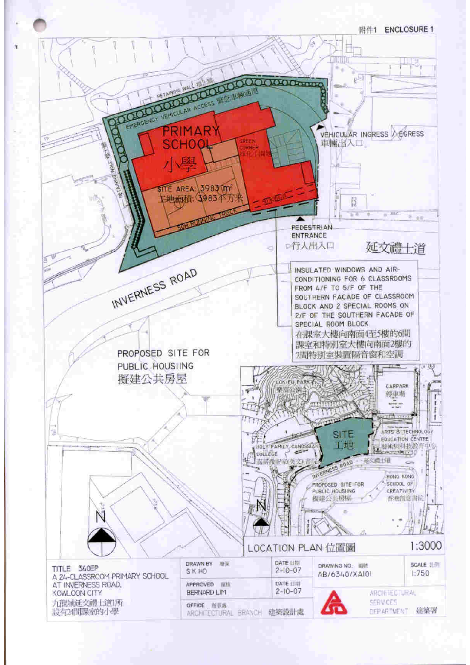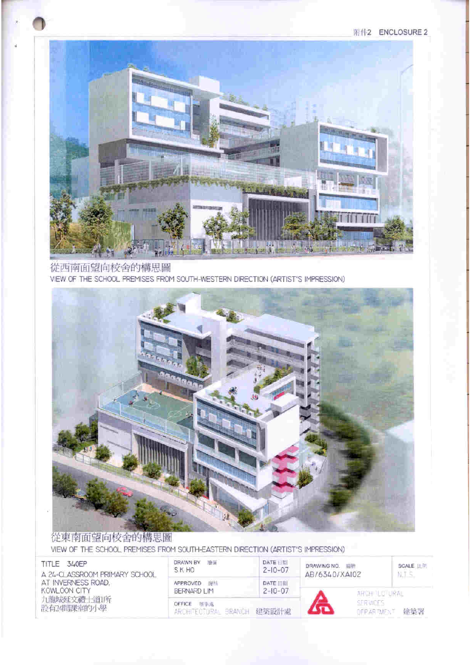附件2 ENCLOSURE 2



#### 從西南面望向校舍的構思圖 VIEW OF THE SCHOOL PREMISES FROM SOUTH-WESTERN DIRECTION (ARTIST'S IMPRESSION)



# 從東南面望向校舍的構思圖

VIEW OF THE SCHOOL PREMISES FROM SOUTH-EASTERN DIRECTION (ARTIST'S IMPRESSION)

| 340EP<br>TITLE.<br>A 24-CLASSROOM PRIMARY SCHOOL<br>AT INVERNESS ROAD.<br>KOWLOON CITY | <b>DRAWN BY</b><br>789-38<br>S K HO   | DATE UT<br>$2 - 10 - 07$         | DRAWING NO.<br>14129<br>AB/6340/XAI02<br>ARGH ILOTURAL |                    | SCALE II T |
|----------------------------------------------------------------------------------------|---------------------------------------|----------------------------------|--------------------------------------------------------|--------------------|------------|
|                                                                                        | <b>APPROVED</b><br>窗档<br>BERNARD LIM  | <b>DATE HIM</b><br>$2 - 10 - 07$ |                                                        |                    |            |
| 九龍城延文禮上道所<br>設有24間課室的小學                                                                | OFFICE<br>新事處<br>ARCHITEOTURAL BRANCH | 建築設計畫                            |                                                        | <b>OF PARTMENT</b> | 建築署        |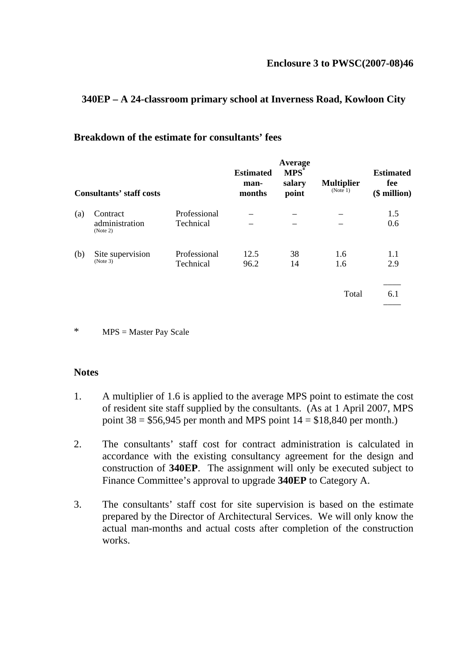#### **340EP – A 24-classroom primary school at Inverness Road, Kowloon City**

| <b>Consultants' staff costs</b> |                            | <b>Estimated</b><br>man-<br>months | Average<br>$MPS^*$<br>salary<br>point | <b>Multiplier</b><br>(Note 1) | <b>Estimated</b><br>fee<br>$$$ million) |            |
|---------------------------------|----------------------------|------------------------------------|---------------------------------------|-------------------------------|-----------------------------------------|------------|
| (a)                             | Contract<br>administration | Professional<br>Technical          |                                       |                               |                                         | 1.5<br>0.6 |
|                                 | (Note 2)                   |                                    |                                       |                               |                                         |            |
| (b)                             | Site supervision           | Professional                       | 12.5                                  | 38                            | 1.6                                     | 1.1        |
|                                 | (Note 3)                   | Technical                          | 96.2                                  | 14                            | 1.6                                     | 2.9        |
|                                 |                            |                                    |                                       |                               |                                         |            |
|                                 |                            |                                    |                                       |                               | Total                                   | 6.1        |
|                                 |                            |                                    |                                       |                               |                                         |            |

#### **Breakdown of the estimate for consultants' fees**

\* MPS = Master Pay Scale

#### **Notes**

- 1. A multiplier of 1.6 is applied to the average MPS point to estimate the cost of resident site staff supplied by the consultants. (As at 1 April 2007, MPS point  $38 = $56,945$  per month and MPS point  $14 = $18,840$  per month.)
- 2. The consultants' staff cost for contract administration is calculated in accordance with the existing consultancy agreement for the design and construction of **340EP**. The assignment will only be executed subject to Finance Committee's approval to upgrade **340EP** to Category A.
- 3. The consultants' staff cost for site supervision is based on the estimate prepared by the Director of Architectural Services. We will only know the actual man-months and actual costs after completion of the construction works.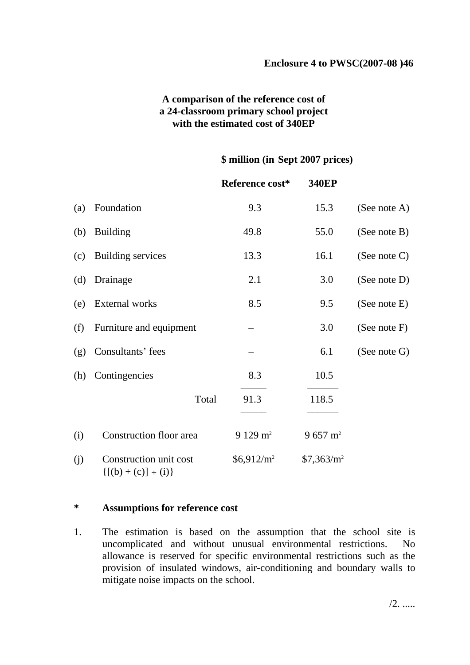### **A comparison of the reference cost of a 24-classroom primary school project with the estimated cost of 340EP**

#### **\$ million (in Sept 2007 prices)**

|     |                                                       | Reference cost*    | <b>340EP</b>           |                 |
|-----|-------------------------------------------------------|--------------------|------------------------|-----------------|
| (a) | Foundation                                            | 9.3                | 15.3                   | (See note A)    |
| (b) | <b>Building</b>                                       | 49.8               | 55.0                   | (See note B)    |
| (c) | <b>Building services</b>                              | 13.3               | 16.1                   | (See note $C$ ) |
| (d) | Drainage                                              | 2.1                | 3.0                    | (See note D)    |
| (e) | External works                                        | 8.5                | 9.5                    | (See note E)    |
| (f) | Furniture and equipment                               |                    | 3.0                    | (See note F)    |
| (g) | Consultants' fees                                     |                    | 6.1                    | (See note G)    |
| (h) | Contingencies                                         | 8.3                | 10.5                   |                 |
|     | Total                                                 | 91.3               | 118.5                  |                 |
| (i) | Construction floor area                               | $9129 \text{ m}^2$ | $9657 \text{ m}^2$     |                 |
| (j) | Construction unit cost<br>$\{[(b) + (c)] \div (i)\}\$ | $$6,912/m^2$$      | \$7,363/m <sup>2</sup> |                 |

#### **\* Assumptions for reference cost**

1. The estimation is based on the assumption that the school site is uncomplicated and without unusual environmental restrictions. No allowance is reserved for specific environmental restrictions such as the provision of insulated windows, air-conditioning and boundary walls to mitigate noise impacts on the school.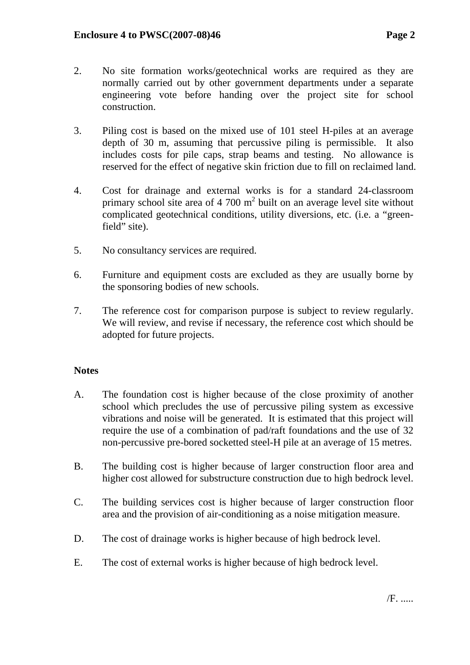- 2. No site formation works/geotechnical works are required as they are normally carried out by other government departments under a separate engineering vote before handing over the project site for school construction.
- 3. Piling cost is based on the mixed use of 101 steel H-piles at an average depth of 30 m, assuming that percussive piling is permissible. It also includes costs for pile caps, strap beams and testing. No allowance is reserved for the effect of negative skin friction due to fill on reclaimed land.
- 4. Cost for drainage and external works is for a standard 24-classroom primary school site area of 4 700  $m<sup>2</sup>$  built on an average level site without complicated geotechnical conditions, utility diversions, etc. (i.e. a "greenfield" site).
- 5. No consultancy services are required.
- 6. Furniture and equipment costs are excluded as they are usually borne by the sponsoring bodies of new schools.
- 7. The reference cost for comparison purpose is subject to review regularly. We will review, and revise if necessary, the reference cost which should be adopted for future projects.

### **Notes**

- A. The foundation cost is higher because of the close proximity of another school which precludes the use of percussive piling system as excessive vibrations and noise will be generated. It is estimated that this project will require the use of a combination of pad/raft foundations and the use of 32 non-percussive pre-bored socketted steel-H pile at an average of 15 metres.
- B. The building cost is higher because of larger construction floor area and higher cost allowed for substructure construction due to high bedrock level.
- C. The building services cost is higher because of larger construction floor area and the provision of air-conditioning as a noise mitigation measure.
- D. The cost of drainage works is higher because of high bedrock level.
- E. The cost of external works is higher because of high bedrock level.